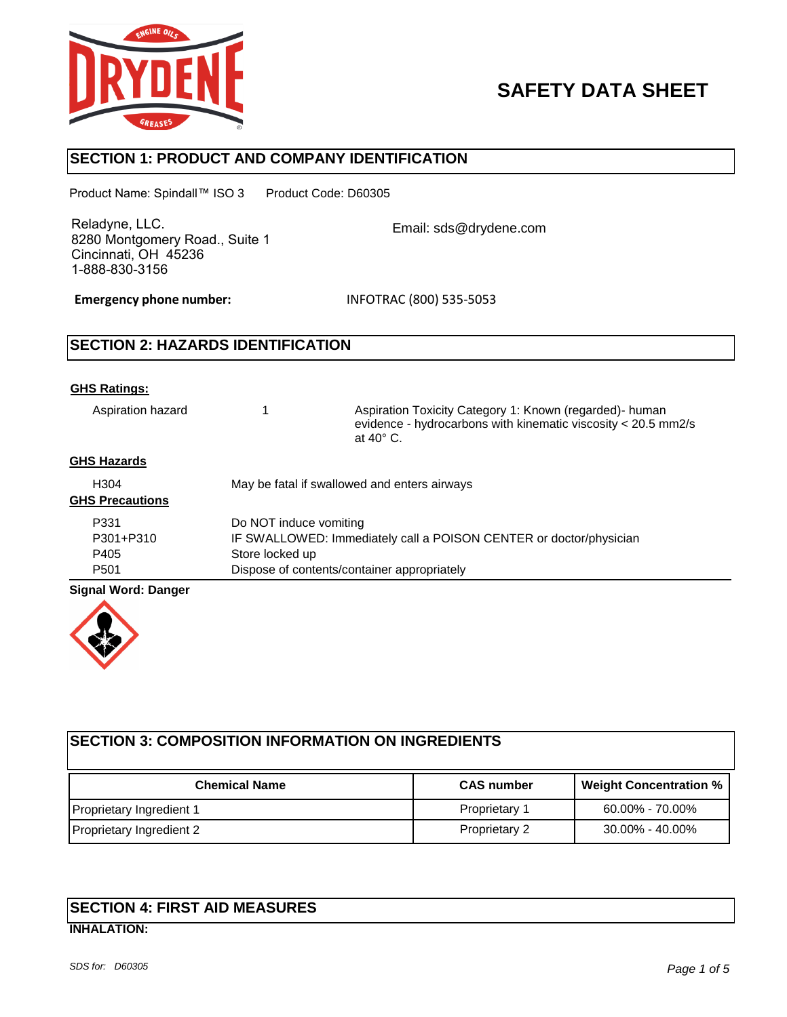

# **SAFETY DATA SHEET**

# **SECTION 1: PRODUCT AND COMPANY IDENTIFICATION**

Product Name: Spindall™ ISO 3 Product Code: D60305

Reladyne, LLC. 8280 Montgomery Road., Suite 1 Cincinnati, OH 45236 1-888-830-3156

Email: sds@drydene.com

**Emergency phone number:** INFOTRAC (800) 535-5053

# **SECTION 2: HAZARDS IDENTIFICATION**

#### **GHS Ratings:**

Aspiration hazard 1 Aspiration Toxicity Category 1: Known (regarded)- human evidence - hydrocarbons with kinematic viscosity < 20.5 mm2/s at 40° C.

#### **GHS Hazards**

| H <sub>304</sub><br><b>GHS Precautions</b> | May be fatal if swallowed and enters airways                       |
|--------------------------------------------|--------------------------------------------------------------------|
| P331                                       | Do NOT induce vomiting                                             |
| P301+P310                                  | IF SWALLOWED: Immediately call a POISON CENTER or doctor/physician |
| P405                                       | Store locked up                                                    |
| P <sub>501</sub>                           | Dispose of contents/container appropriately                        |

#### **Signal Word: Danger**



| <b>SECTION 3: COMPOSITION INFORMATION ON INGREDIENTS</b> |                      |                               |
|----------------------------------------------------------|----------------------|-------------------------------|
| <b>Chemical Name</b>                                     | <b>CAS number</b>    | <b>Weight Concentration %</b> |
| Proprietary Ingredient 1                                 | Proprietary 1        | $60.00\% - 70.00\%$           |
| Proprietary Ingredient 2                                 | <b>Proprietary 2</b> | 30.00% - 40.00%               |

# **SECTION 4: FIRST AID MEASURES INHALATION:**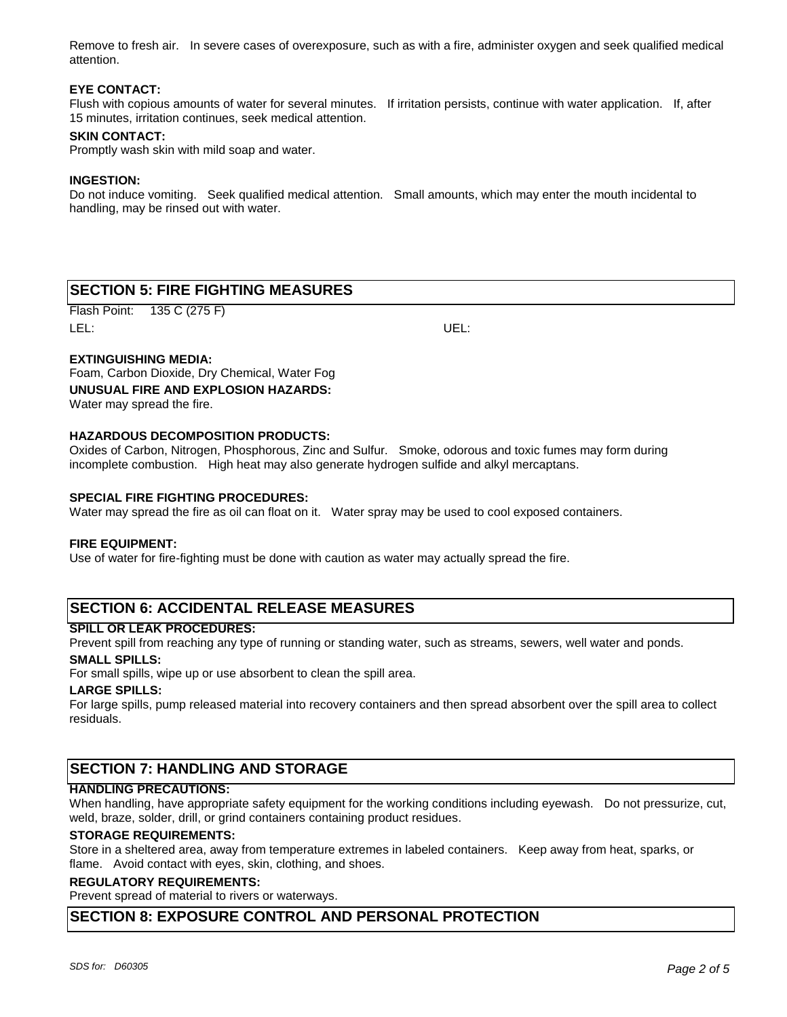Remove to fresh air. In severe cases of overexposure, such as with a fire, administer oxygen and seek qualified medical attention.

#### **EYE CONTACT:**

Flush with copious amounts of water for several minutes. If irritation persists, continue with water application. If, after 15 minutes, irritation continues, seek medical attention.

#### **SKIN CONTACT:**

Promptly wash skin with mild soap and water.

#### **INGESTION:**

Do not induce vomiting. Seek qualified medical attention. Small amounts, which may enter the mouth incidental to handling, may be rinsed out with water.

# **SECTION 5: FIRE FIGHTING MEASURES**

Flash Point: 135 C (275 F) LEL: UEL:

#### **EXTINGUISHING MEDIA:**

Foam, Carbon Dioxide, Dry Chemical, Water Fog **UNUSUAL FIRE AND EXPLOSION HAZARDS:** Water may spread the fire.

#### **HAZARDOUS DECOMPOSITION PRODUCTS:**

Oxides of Carbon, Nitrogen, Phosphorous, Zinc and Sulfur. Smoke, odorous and toxic fumes may form during incomplete combustion. High heat may also generate hydrogen sulfide and alkyl mercaptans.

#### **SPECIAL FIRE FIGHTING PROCEDURES:**

Water may spread the fire as oil can float on it. Water spray may be used to cool exposed containers.

#### **FIRE EQUIPMENT:**

Use of water for fire-fighting must be done with caution as water may actually spread the fire.

# **SECTION 6: ACCIDENTAL RELEASE MEASURES**

#### **SPILL OR LEAK PROCEDURES:**

Prevent spill from reaching any type of running or standing water, such as streams, sewers, well water and ponds. **SMALL SPILLS:**

For small spills, wipe up or use absorbent to clean the spill area.

#### **LARGE SPILLS:**

For large spills, pump released material into recovery containers and then spread absorbent over the spill area to collect residuals.

### **SECTION 7: HANDLING AND STORAGE**

#### **HANDLING PRECAUTIONS:**

When handling, have appropriate safety equipment for the working conditions including eyewash. Do not pressurize, cut, weld, braze, solder, drill, or grind containers containing product residues.

#### **STORAGE REQUIREMENTS:**

Store in a sheltered area, away from temperature extremes in labeled containers. Keep away from heat, sparks, or flame. Avoid contact with eyes, skin, clothing, and shoes.

#### **REGULATORY REQUIREMENTS:**

Prevent spread of material to rivers or waterways.

#### **SECTION 8: EXPOSURE CONTROL AND PERSONAL PROTECTION**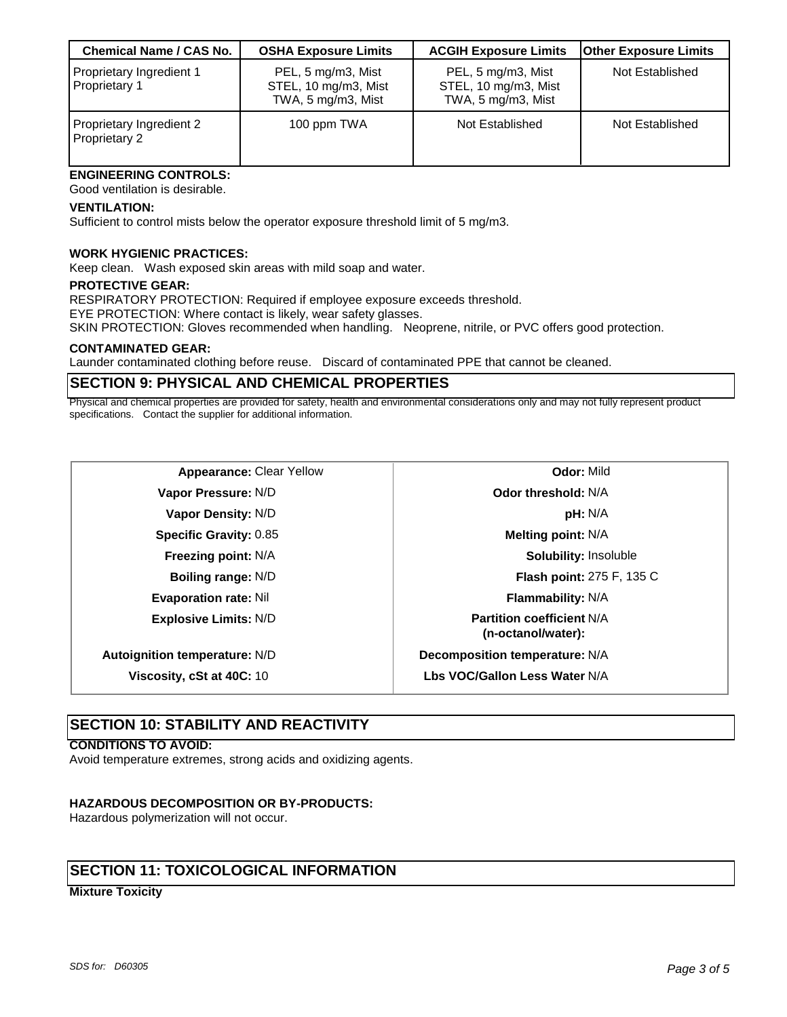| <b>Chemical Name / CAS No.</b>                   | <b>OSHA Exposure Limits</b>                                      | <b>ACGIH Exposure Limits</b>                                     | <b>Other Exposure Limits</b> |
|--------------------------------------------------|------------------------------------------------------------------|------------------------------------------------------------------|------------------------------|
| Proprietary Ingredient 1<br>Proprietary 1        | PEL, 5 mg/m3, Mist<br>STEL, 10 mg/m3, Mist<br>TWA, 5 mg/m3, Mist | PEL, 5 mg/m3, Mist<br>STEL, 10 mg/m3, Mist<br>TWA, 5 mg/m3, Mist | Not Established              |
| Proprietary Ingredient 2<br><b>Proprietary 2</b> | 100 ppm TWA                                                      | Not Established                                                  | Not Established              |

# **ENGINEERING CONTROLS:**

Good ventilation is desirable.

#### **VENTILATION:**

Sufficient to control mists below the operator exposure threshold limit of 5 mg/m3.

#### **WORK HYGIENIC PRACTICES:**

Keep clean. Wash exposed skin areas with mild soap and water.

#### **PROTECTIVE GEAR:**

RESPIRATORY PROTECTION: Required if employee exposure exceeds threshold.

EYE PROTECTION: Where contact is likely, wear safety glasses.

SKIN PROTECTION: Gloves recommended when handling. Neoprene, nitrile, or PVC offers good protection.

#### **CONTAMINATED GEAR:**

Launder contaminated clothing before reuse. Discard of contaminated PPE that cannot be cleaned.

### **SECTION 9: PHYSICAL AND CHEMICAL PROPERTIES**

Physical and chemical properties are provided for safety, health and environmental considerations only and may not fully represent product specifications. Contact the supplier for additional information.

| <b>Appearance: Clear Yellow</b>      | <b>Odor: Mild</b>                                      |
|--------------------------------------|--------------------------------------------------------|
| Vapor Pressure: N/D                  | Odor threshold: N/A                                    |
| Vapor Density: N/D                   | <b>pH: N/A</b>                                         |
| <b>Specific Gravity: 0.85</b>        | Melting point: N/A                                     |
| <b>Freezing point: N/A</b>           | <b>Solubility: Insoluble</b>                           |
| Boiling range: N/D                   | Flash point: 275 F, 135 C                              |
| <b>Evaporation rate: Nil</b>         | <b>Flammability: N/A</b>                               |
| <b>Explosive Limits: N/D</b>         | <b>Partition coefficient N/A</b><br>(n-octanol/water): |
| <b>Autoignition temperature: N/D</b> | Decomposition temperature: N/A                         |
| Viscosity, cSt at 40C: 10            | Lbs VOC/Gallon Less Water N/A                          |
|                                      |                                                        |

| Odor: Mild                                             |  |
|--------------------------------------------------------|--|
| <b>Odor threshold: N/A</b>                             |  |
| <b>pH:</b> N/A                                         |  |
| <b>Melting point: N/A</b>                              |  |
| <b>Solubility: Insoluble</b>                           |  |
| <b>Flash point: 275 F, 135 C</b>                       |  |
| <b>Flammability: N/A</b>                               |  |
| <b>Partition coefficient N/A</b><br>(n-octanol/water): |  |
| omposition temperature: N/A                            |  |
| <b>VOC/Gallon Less Water N/A</b>                       |  |

### **SECTION 10: STABILITY AND REACTIVITY**

#### **CONDITIONS TO AVOID:**

Avoid temperature extremes, strong acids and oxidizing agents.

#### **HAZARDOUS DECOMPOSITION OR BY-PRODUCTS:**

Hazardous polymerization will not occur.

# **SECTION 11: TOXICOLOGICAL INFORMATION**

#### **Mixture Toxicity**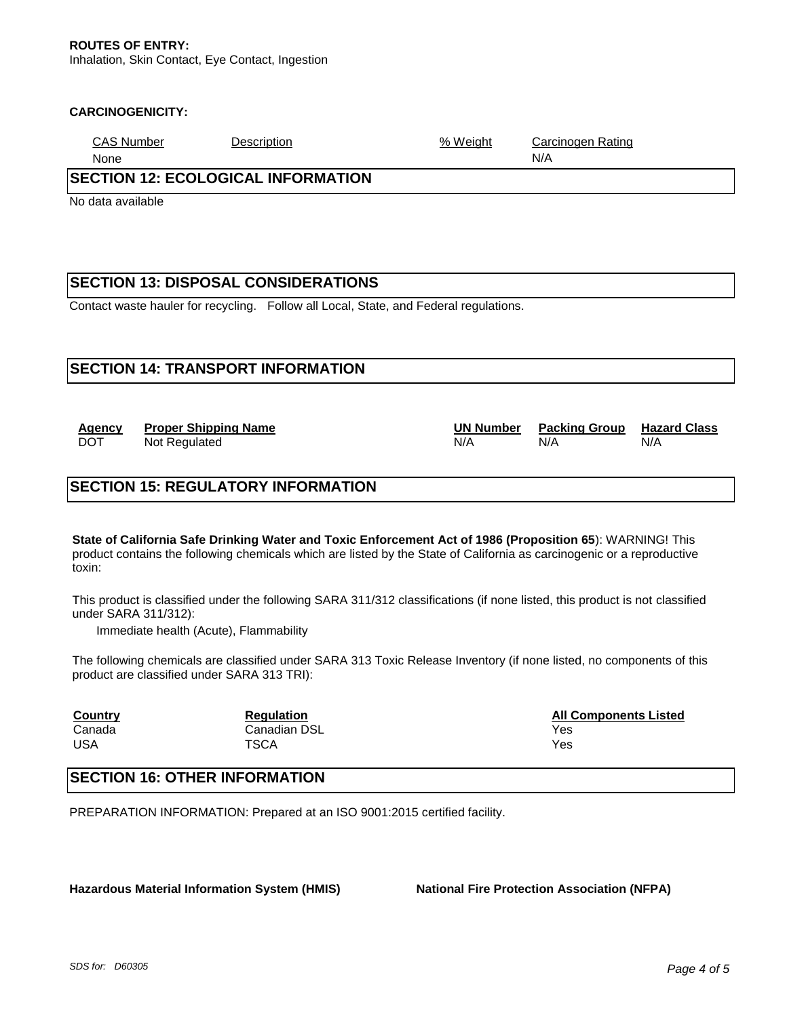#### **CARCINOGENICITY:**

| <b>CAS Number</b><br>Description | Weight<br>$\%$ | Carcinogen Rating |
|----------------------------------|----------------|-------------------|
|----------------------------------|----------------|-------------------|

None N/A

# **SECTION 12: ECOLOGICAL INFORMATION**

No data available

# **SECTION 13: DISPOSAL CONSIDERATIONS**

Contact waste hauler for recycling. Follow all Local, State, and Federal regulations.

# **SECTION 14: TRANSPORT INFORMATION**

**Agency Proper Shipping Name UN Number Packing Group Hazard Class** DOT Not Regulated N/A N/A N/A N/A

# **SECTION 15: REGULATORY INFORMATION**

**State of California Safe Drinking Water and Toxic Enforcement Act of 1986 (Proposition 65**): WARNING! This product contains the following chemicals which are listed by the State of California as carcinogenic or a reproductive toxin:

This product is classified under the following SARA 311/312 classifications (if none listed, this product is not classified under SARA 311/312):

Immediate health (Acute), Flammability

The following chemicals are classified under SARA 313 Toxic Release Inventory (if none listed, no components of this product are classified under SARA 313 TRI):

| <b>Country</b> | <b>Regulation</b> | <b>All Components Listed</b> |
|----------------|-------------------|------------------------------|
| Canada         | Canadian DSL      | Yes                          |
| USA            | <b>TSCA</b>       | Yes                          |

# **SECTION 16: OTHER INFORMATION**

PREPARATION INFORMATION: Prepared at an ISO 9001:2015 certified facility.

**Hazardous Material Information System (HMIS) National Fire Protection Association (NFPA)**